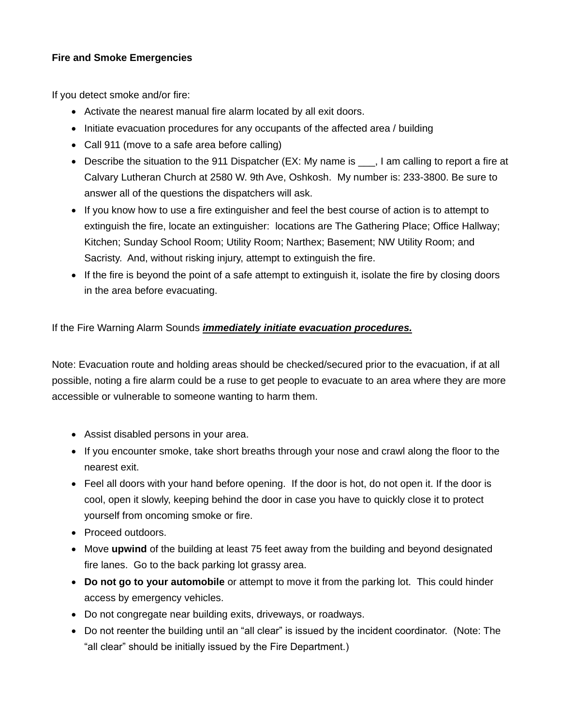## **Fire and Smoke Emergencies**

If you detect smoke and/or fire:

- Activate the nearest manual fire alarm located by all exit doors.
- Initiate evacuation procedures for any occupants of the affected area / building
- Call 911 (move to a safe area before calling)
- Describe the situation to the 911 Dispatcher (EX: My name is , I am calling to report a fire at Calvary Lutheran Church at 2580 W. 9th Ave, Oshkosh. My number is: 233-3800. Be sure to answer all of the questions the dispatchers will ask.
- If you know how to use a fire extinguisher and feel the best course of action is to attempt to extinguish the fire, locate an extinguisher: locations are The Gathering Place; Office Hallway; Kitchen; Sunday School Room; Utility Room; Narthex; Basement; NW Utility Room; and Sacristy. And, without risking injury, attempt to extinguish the fire.
- If the fire is beyond the point of a safe attempt to extinguish it, isolate the fire by closing doors in the area before evacuating.

## If the Fire Warning Alarm Sounds *immediately initiate evacuation procedures.*

Note: Evacuation route and holding areas should be checked/secured prior to the evacuation, if at all possible, noting a fire alarm could be a ruse to get people to evacuate to an area where they are more accessible or vulnerable to someone wanting to harm them.

- Assist disabled persons in your area.
- If you encounter smoke, take short breaths through your nose and crawl along the floor to the nearest exit.
- Feel all doors with your hand before opening. If the door is hot, do not open it. If the door is cool, open it slowly, keeping behind the door in case you have to quickly close it to protect yourself from oncoming smoke or fire.
- Proceed outdoors.
- Move **upwind** of the building at least 75 feet away from the building and beyond designated fire lanes. Go to the back parking lot grassy area.
- **Do not go to your automobile** or attempt to move it from the parking lot. This could hinder access by emergency vehicles.
- Do not congregate near building exits, driveways, or roadways.
- Do not reenter the building until an "all clear" is issued by the incident coordinator. (Note: The "all clear" should be initially issued by the Fire Department.)